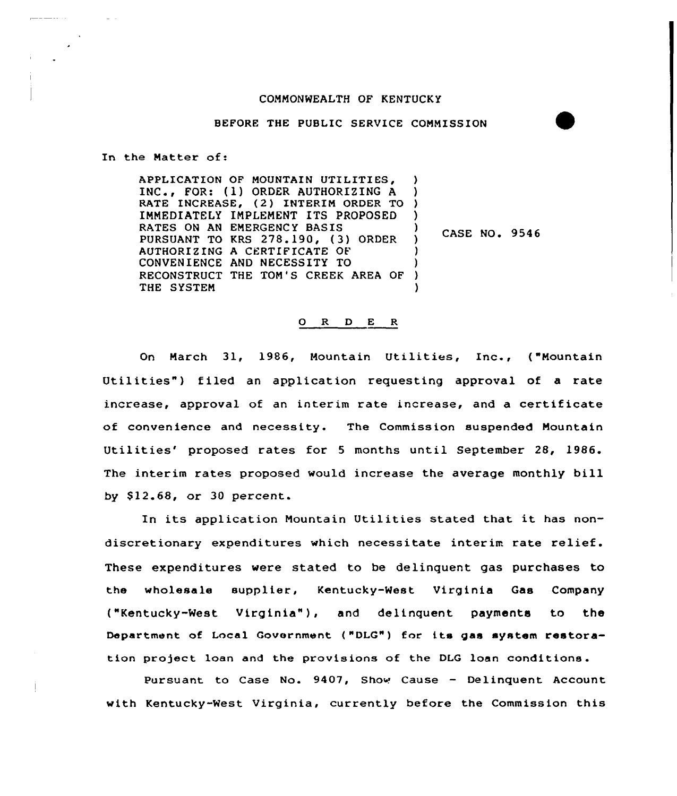## COMMONWEALTH OF KENTUCKY

## BEFORE THE PUBLIC SERVICE COMMISSION

In the Matter of:

APPLICATION OF MOUNTAIN UTILITIES, INC., FOR: (1) ORDER AUTHORIZING <sup>A</sup> RATE INCREASE, (2) INTERIM ORDER TO IMMEDIATELY IMPLEMENT ITS PROPOSED RATES ON AN EMERGENCY BASIS PURSUANT TO KRS 278.190, (3) ORDER AUTHORIZING A CERTIFICATE OF CONVENIENCE AND NECESSITY TO RECONSTRUCT THE TOM'S CREEK AREA OF THE SYSTEM ) ) ) CASE NO. 9546 ) ) ) ) )

## 0 R <sup>D</sup> E <sup>R</sup>

On March 31, 1986, Mountain Utilities, Inc., ("Mountain Utilities") filed an application requesting approval of a rate increase, approval of an interim rate increase, and a certificate of convenience and necessity. The Commission suspended Mountain Utilities' proposed rates for 5 months until September 28, 1986. The interim rates proposed would increase the average monthly bill by \$12.68, or 30 percent.

In its application Mountain Utilities stated that it has nondiscretionary expenditures which necessitate interim rate relief. These expenditures were stated to be delinquent gas purchases to the wholesale supplier, Kentucky-West Virginia Gas Company ("Kentucky-West Virginia" ), and delinquent payments to the Department of Local Government ("DLG") for its gas system restora tion project loan and the provisions of the DLG loan conditions.

Pursuant to Case No. 9407, Show Cause - Delinquent Account with Kentucky-Nest Virginia, currently before the Commission this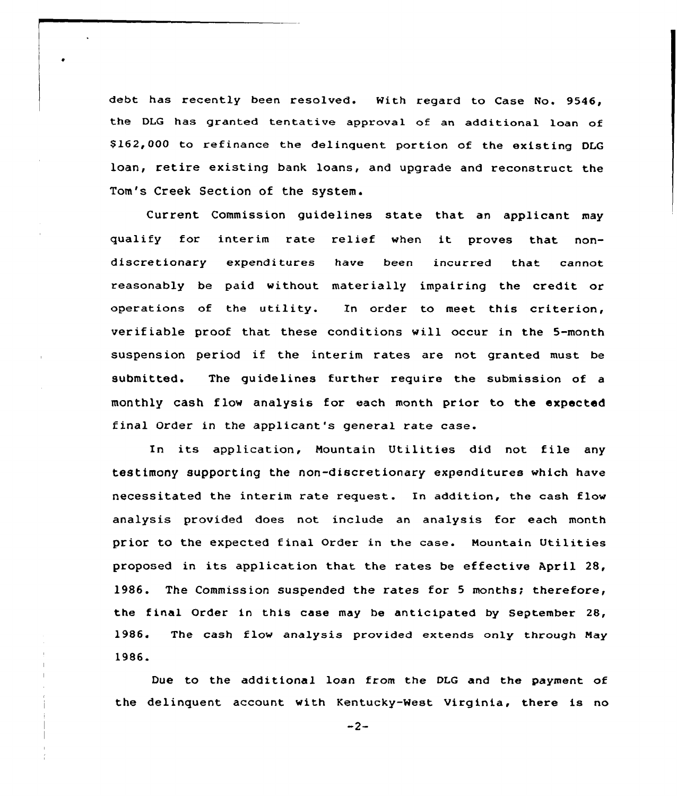debt has recently been resolved. With regard to Case No. 9546, the DLG has granted tentative approval of an additional loan of \$162,000 to refinance the delinquent portion of the existing DLG loan, retire existing bank loans, and upgrade and reconstruct the Tom's Creek Section of the system.

Current Commission guidelines state that an applicant may qualify for interim rate relief when it proves that nondiscretionary expenditures have been incurred that cannot reasonably be paid without materially impairing the credit or operations of the utility. In order to meet this criterion, verifiable proof that these conditions will occur in the 5-month suspension period if the interim rates are not granted must be submitted. The guidelines further require the submission of a monthly cash flow analysis for each month prior to the expected final Order in the applicant's general rate case.

In its application, Mountain Utilities did not file any testimony supporting the non-discretionary expenditures which have necessitated the interim rate request. In addition, the cash flow analysis provided does not include an analysis for each month prior to the expected final Order in the case. Mountain Utilities proposed in its application that the rates be effective April 28, 1986. The Commission suspended the rates for <sup>5</sup> months; therefore, the final Order in this case may be anticipated by September 28, 1986. The cash flow analysis provided extends only through May 1986.

Due to the additional loan from the DLG and the payment of the delinquent account with Kentucky-West Virginia, there is no

 $-2-$